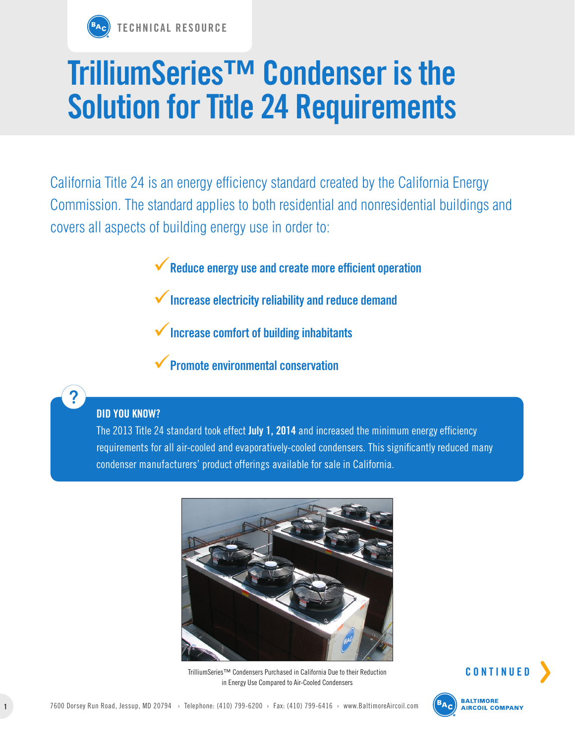

## **TrilliumSeries™ Condenser is the Solution for Title 24 Requirements**

California Title 24 is an energy efficiency standard created by the California Energy Commission. The standard applies to both residential and nonresidential buildings and covers all aspects of building energy use in order to:

9**Reduce energy use and create more efficient operation**

- 9**Increase electricity reliability and reduce demand**
- 9**Increase comfort of building inhabitants**
- 9**Promote environmental conservation**

## **DID YOU KNOW?**

The 2013 Title 24 standard took effect **July 1, 2014** and increased the minimum energy efficiency requirements for all air-cooled and evaporatively-cooled condensers. This significantly reduced many condenser manufacturers' product offerings available for sale in California.



TrilliumSeries™ Condensers Purchased in California Due to their Reduction in Energy Use Compared to Air-Cooled Condensers



**CONTINUE**